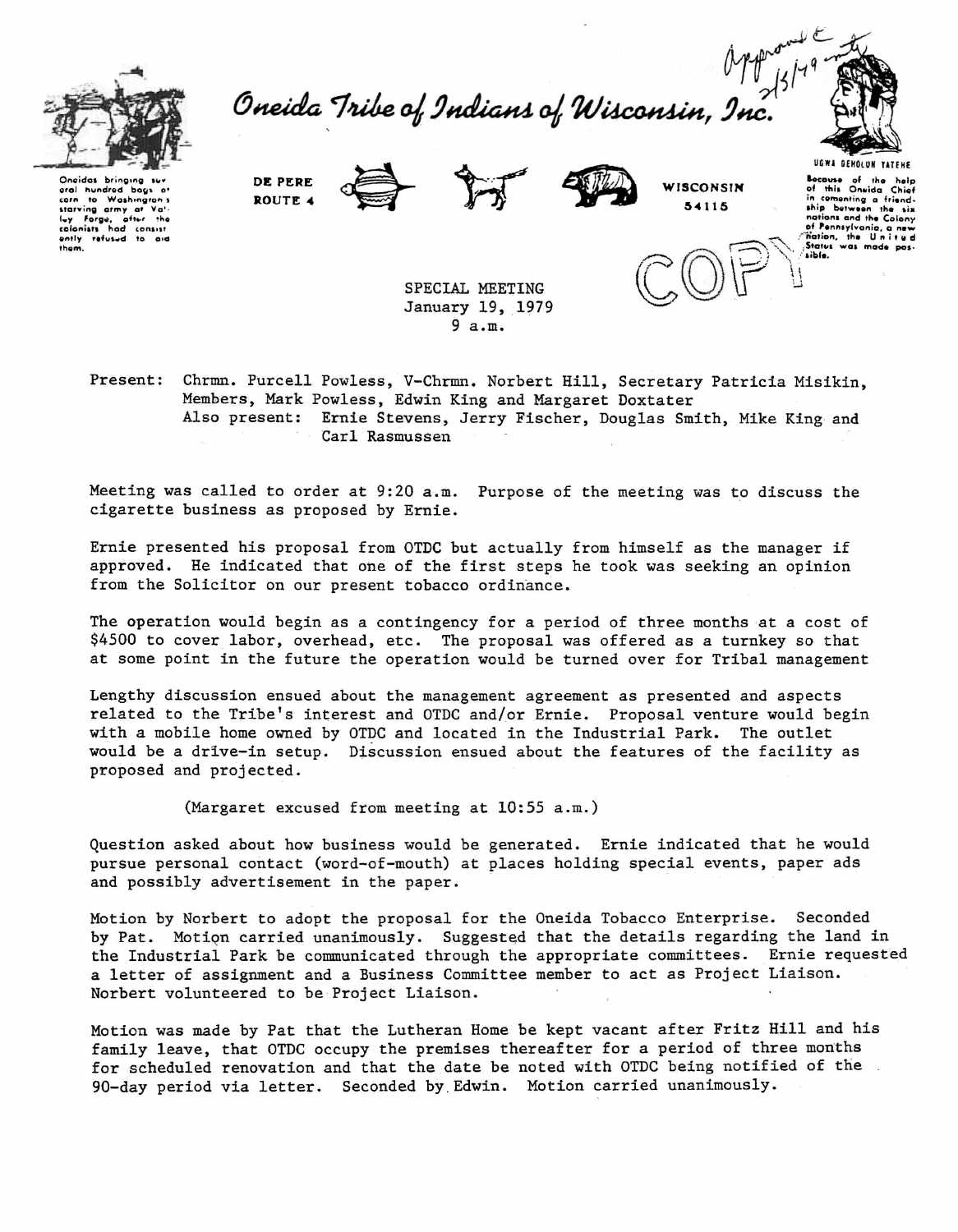

MT<br>Oneida Tribe of Indians of Wisconsin, Inc.



Oneidas brinaina eral hundred bac  $\overline{\phantom{a}}$ Washingt starving army at Valently refused to aid DE PFDF ROUTE 4







Bocause of the help<br>of this Oneida Chief in come inting a friendbetween six nations and the Colony of Pennsylvania,<br>Tration, the Unit

aldi.

SPECIAL MEETING January 19, 1979  $9a.m.$ 

Present: Chrmn. Purcell Powless, V-Chrmn. Norbert Hill, Secretary Patricia Misikin. Members, Mark Powless, Edwin King and Margaret Doxtater Also present: Ernie Stevens, Jerry Fischer, Douglas Smith, Mike King and Carl Rasmussen

Meeting was called to order at 9:20 a.m. Purpose of the meeting was to discuss the cigarette business as proposed by Ernie.

Ernie presented his proposal from OTDC but actually from himself as the manager if approved. He indicated that one of the first steps he took was seeking an opinion from the Solicitor on our present tobacco ordinance.

The operation would begin as a contingency for a period of three months at a cost of \$4500 to cover labor, overhead, etc. The proposal was offered as a turnkey so that at some point in the future the operation would be turned over for Tribal management

Lengthy discussion ensued about the management agreement as presented and aspects related to the Tribe's interest and OTDC and/or Ernie. Proposal venture would begin with a mobile home owned by OTDC and located in the Industrial Park. The outlet would be a drive-in setup. Discussion ensued about the features of the facility as proposed and projected.

(Margaret excused from meeting at 10:55 a.m.)

Question asked about how business would be generated. Ernie indicated that he would pursue personal contact (word-of-mouth) at places holding special events, paper ads and possibly advertisement in the paper.

Motion by Norbert to adopt the proposal for the Oneida Tobacco Enterprise. Seconded by Pat. Motion carried unanimously. Suggested that the details regarding the land in the Industrial Park be communicated through the appropriate committees. Ernie requested a letter of assignment and a Business Committee member to act as Project Liaison. Norbert volunteered to be Project Liaison.

Motion was made by Pat that the Lutheran Home be kept vacant after Fritz Hill and his family leave, that OTDC occupy the premises thereafter for a period of three months for scheduled renovation and that the date be noted with OTDC being notified of the 90-day period via letter. Seconded by Edwin. Motion carried unanimously.